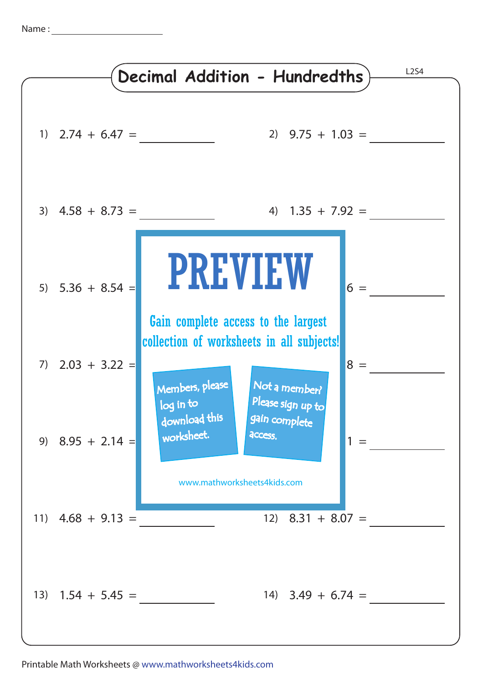